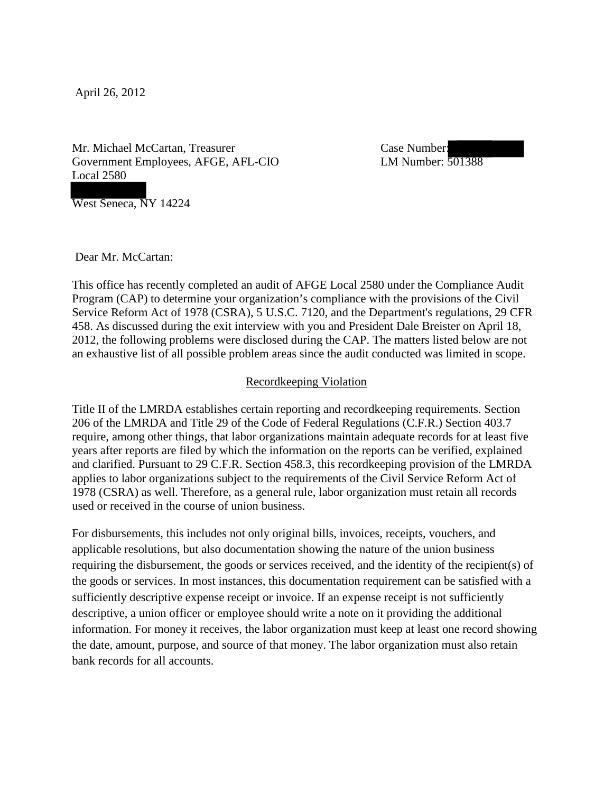April 26, 2012

Mr. Michael McCartan, Treasurer Government Employees, AFGE, AFL-CIO Local 2580

 Case Number: LM Number: 501388

West Seneca, NY 14224

Dear Mr. McCartan:

This office has recently completed an audit of AFGE Local 2580 under the Compliance Audit Program (CAP) to determine your organization's compliance with the provisions of the Civil Service Reform Act of 1978 (CSRA), 5 U.S.C. 7120, and the Department's regulations, 29 CFR 458. As discussed during the exit interview with you and President Dale Breister on April 18, 2012, the following problems were disclosed during the CAP. The matters listed below are not an exhaustive list of all possible problem areas since the audit conducted was limited in scope.

## Recordkeeping Violation

Title II of the LMRDA establishes certain reporting and recordkeeping requirements. Section 206 of the LMRDA and Title 29 of the Code of Federal Regulations (C.F.R.) Section 403.7 require, among other things, that labor organizations maintain adequate records for at least five years after reports are filed by which the information on the reports can be verified, explained and clarified. Pursuant to 29 C.F.R. Section 458.3, this recordkeeping provision of the LMRDA applies to labor organizations subject to the requirements of the Civil Service Reform Act of 1978 (CSRA) as well. Therefore, as a general rule, labor organization must retain all records used or received in the course of union business.

For disbursements, this includes not only original bills, invoices, receipts, vouchers, and applicable resolutions, but also documentation showing the nature of the union business requiring the disbursement, the goods or services received, and the identity of the recipient(s) of the goods or services. In most instances, this documentation requirement can be satisfied with a sufficiently descriptive expense receipt or invoice. If an expense receipt is not sufficiently descriptive, a union officer or employee should write a note on it providing the additional information. For money it receives, the labor organization must keep at least one record showing the date, amount, purpose, and source of that money. The labor organization must also retain bank records for all accounts.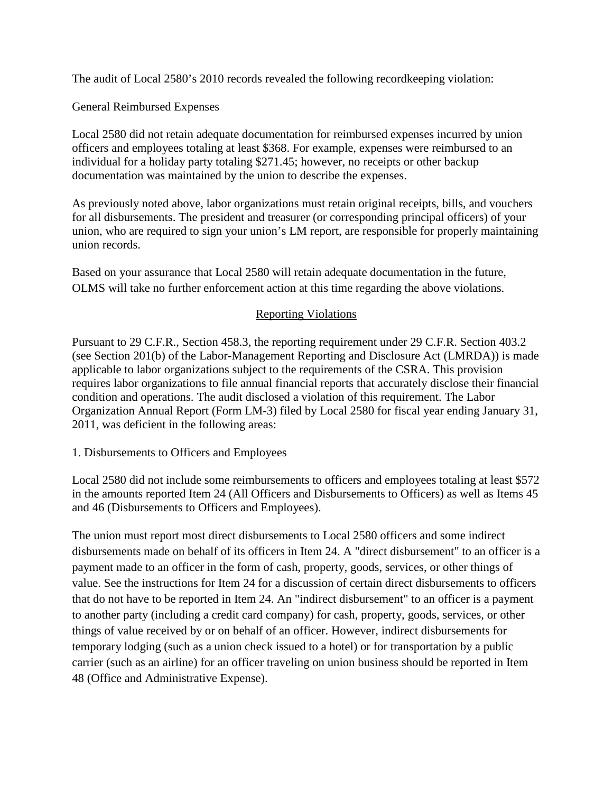The audit of Local 2580's 2010 records revealed the following recordkeeping violation:

General Reimbursed Expenses

Local 2580 did not retain adequate documentation for reimbursed expenses incurred by union officers and employees totaling at least \$368. For example, expenses were reimbursed to an individual for a holiday party totaling \$271.45; however, no receipts or other backup documentation was maintained by the union to describe the expenses.

As previously noted above, labor organizations must retain original receipts, bills, and vouchers for all disbursements. The president and treasurer (or corresponding principal officers) of your union, who are required to sign your union's LM report, are responsible for properly maintaining union records.

Based on your assurance that Local 2580 will retain adequate documentation in the future, OLMS will take no further enforcement action at this time regarding the above violations.

## Reporting Violations

Pursuant to 29 C.F.R., Section 458.3, the reporting requirement under 29 C.F.R. Section 403.2 (see Section 201(b) of the Labor-Management Reporting and Disclosure Act (LMRDA)) is made applicable to labor organizations subject to the requirements of the CSRA. This provision requires labor organizations to file annual financial reports that accurately disclose their financial condition and operations. The audit disclosed a violation of this requirement. The Labor Organization Annual Report (Form LM-3) filed by Local 2580 for fiscal year ending January 31, 2011, was deficient in the following areas:

1. Disbursements to Officers and Employees

Local 2580 did not include some reimbursements to officers and employees totaling at least \$572 in the amounts reported Item 24 (All Officers and Disbursements to Officers) as well as Items 45 and 46 (Disbursements to Officers and Employees).

The union must report most direct disbursements to Local 2580 officers and some indirect disbursements made on behalf of its officers in Item 24. A "direct disbursement" to an officer is a payment made to an officer in the form of cash, property, goods, services, or other things of value. See the instructions for Item 24 for a discussion of certain direct disbursements to officers that do not have to be reported in Item 24. An "indirect disbursement" to an officer is a payment to another party (including a credit card company) for cash, property, goods, services, or other things of value received by or on behalf of an officer. However, indirect disbursements for temporary lodging (such as a union check issued to a hotel) or for transportation by a public carrier (such as an airline) for an officer traveling on union business should be reported in Item 48 (Office and Administrative Expense).